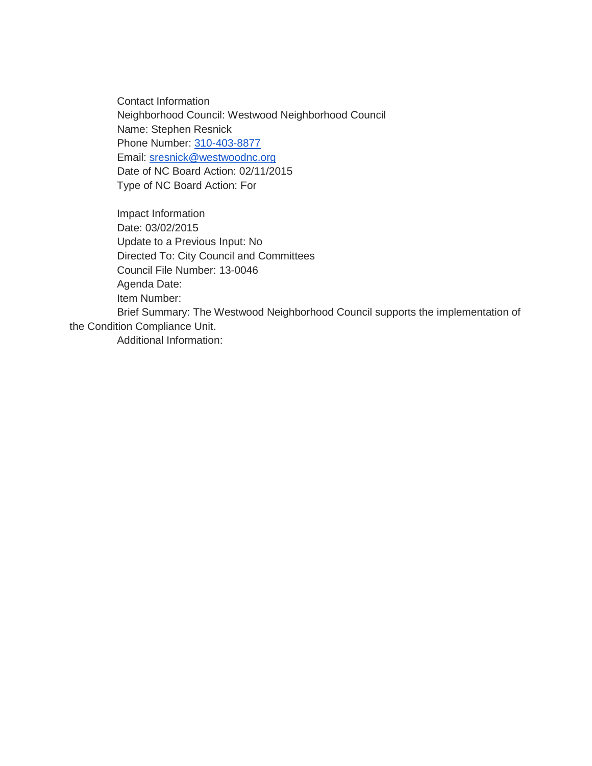Contact Information Neighborhood Council: Westwood Neighborhood Council Name: Stephen Resnick Phone Number: [310-403-8877](tel:310-403-8877) Email: [sresnick@westwoodnc.org](mailto:sresnick@westwoodnc.org) Date of NC Board Action: 02/11/2015 Type of NC Board Action: For

Impact Information Date: 03/02/2015 Update to a Previous Input: No Directed To: City Council and Committees Council File Number: 13-0046 Agenda Date: Item Number: Brief Summary: The Westwood Neighborhood Council supports the implementation of

the Condition Compliance Unit.

Additional Information: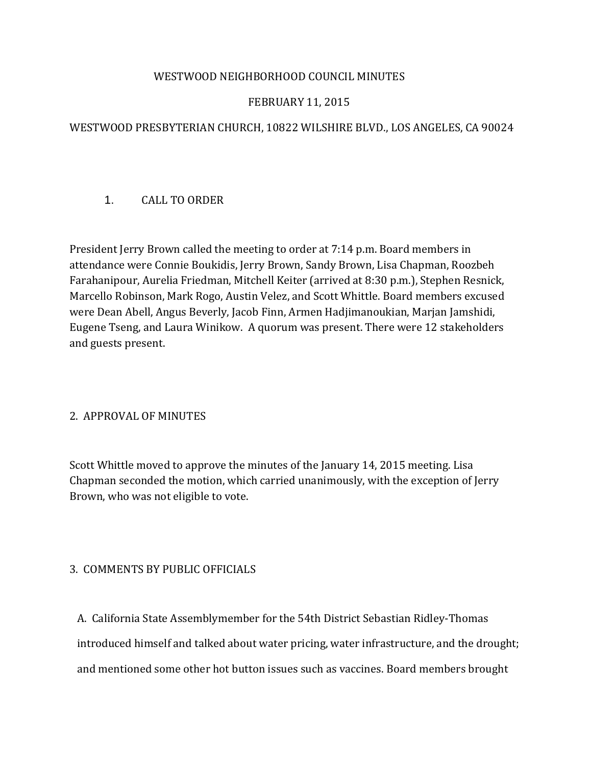# WESTWOOD NEIGHBORHOOD COUNCIL MINUTES

# FEBRUARY 11, 2015

# WESTWOOD PRESBYTERIAN CHURCH, 10822 WILSHIRE BLVD., LOS ANGELES, CA 90024

# 1. CALL TO ORDER

President Jerry Brown called the meeting to order at 7:14 p.m. Board members in attendance were Connie Boukidis, Jerry Brown, Sandy Brown, Lisa Chapman, Roozbeh Farahanipour, Aurelia Friedman, Mitchell Keiter (arrived at 8:30 p.m.), Stephen Resnick, Marcello Robinson, Mark Rogo, Austin Velez, and Scott Whittle. Board members excused were Dean Abell, Angus Beverly, Jacob Finn, Armen Hadjimanoukian, Marjan Jamshidi, Eugene Tseng, and Laura Winikow. A quorum was present. There were 12 stakeholders and guests present.

# 2. APPROVAL OF MINUTES

Scott Whittle moved to approve the minutes of the January 14, 2015 meeting. Lisa Chapman seconded the motion, which carried unanimously, with the exception of Jerry Brown, who was not eligible to vote.

# 3. COMMENTS BY PUBLIC OFFICIALS

 A. California State Assemblymember for the 54th District Sebastian Ridley-Thomas introduced himself and talked about water pricing, water infrastructure, and the drought; and mentioned some other hot button issues such as vaccines. Board members brought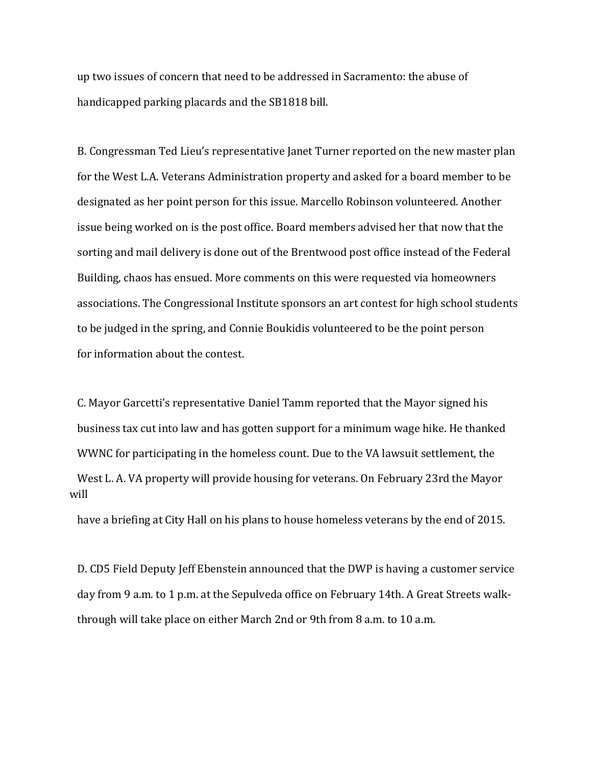up two issues of concern that need to be addressed in Sacramento: the abuse of handicapped parking placards and the SB1818 bill.

 B. Congressman Ted Lieu's representative Janet Turner reported on the new master plan for the West L.A. Veterans Administration property and asked for a board member to be designated as her point person for this issue. Marcello Robinson volunteered. Another issue being worked on is the post office. Board members advised her that now that the sorting and mail delivery is done out of the Brentwood post office instead of the Federal Building, chaos has ensued. More comments on this were requested via homeowners associations. The Congressional Institute sponsors an art contest for high school students to be judged in the spring, and Connie Boukidis volunteered to be the point person for information about the contest.

 C. Mayor Garcetti's representative Daniel Tamm reported that the Mayor signed his business tax cut into law and has gotten support for a minimum wage hike. He thanked WWNC for participating in the homeless count. Due to the VA lawsuit settlement, the West L. A. VA property will provide housing for veterans. On February 23rd the Mayor will

have a briefing at City Hall on his plans to house homeless veterans by the end of 2015.

 D. CD5 Field Deputy Jeff Ebenstein announced that the DWP is having a customer service day from 9 a.m. to 1 p.m. at the Sepulveda office on February 14th. A Great Streets walk through will take place on either March 2nd or 9th from 8 a.m. to 10 a.m.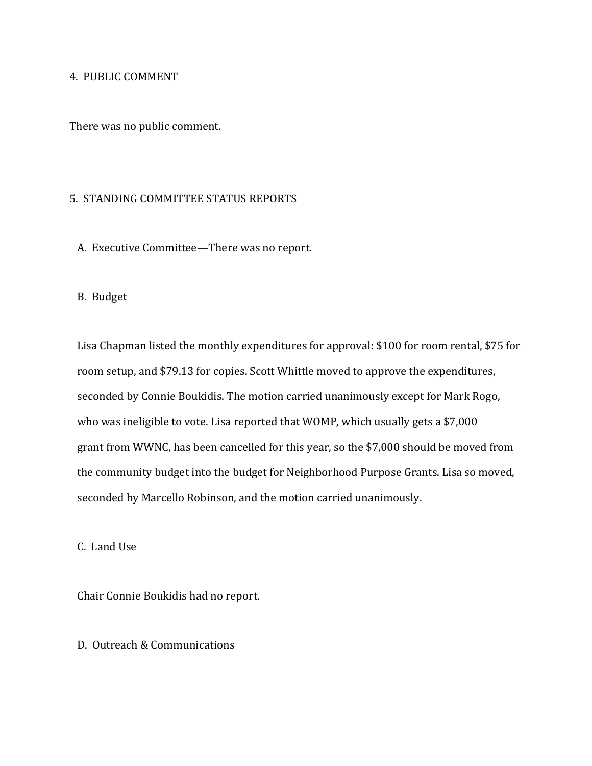#### 4. PUBLIC COMMENT

There was no public comment.

#### 5. STANDING COMMITTEE STATUS REPORTS

A. Executive Committee—There was no report.

#### B. Budget

 Lisa Chapman listed the monthly expenditures for approval: \$100 for room rental, \$75 for room setup, and \$79.13 for copies. Scott Whittle moved to approve the expenditures, seconded by Connie Boukidis. The motion carried unanimously except for Mark Rogo, who was ineligible to vote. Lisa reported that WOMP, which usually gets a \$7,000 grant from WWNC, has been cancelled for this year, so the \$7,000 should be moved from the community budget into the budget for Neighborhood Purpose Grants. Lisa so moved, seconded by Marcello Robinson, and the motion carried unanimously.

C. Land Use

Chair Connie Boukidis had no report.

# D. Outreach & Communications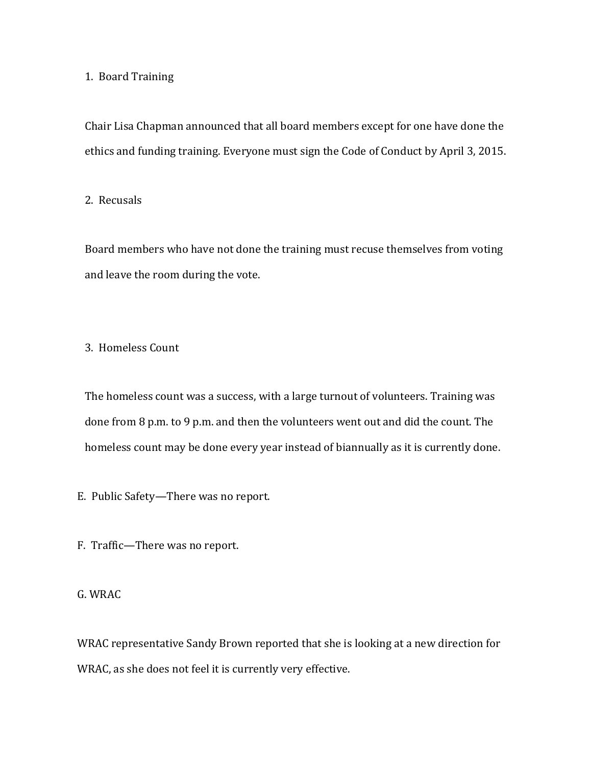#### 1. Board Training

 Chair Lisa Chapman announced that all board members except for one have done the ethics and funding training. Everyone must sign the Code of Conduct by April 3, 2015.

2. Recusals

 Board members who have not done the training must recuse themselves from voting and leave the room during the vote.

3. Homeless Count

 The homeless count was a success, with a large turnout of volunteers. Training was done from 8 p.m. to 9 p.m. and then the volunteers went out and did the count. The homeless count may be done every year instead of biannually as it is currently done.

E. Public Safety—There was no report.

F. Traffic—There was no report.

G. WRAC

 WRAC representative Sandy Brown reported that she is looking at a new direction for WRAC, as she does not feel it is currently very effective.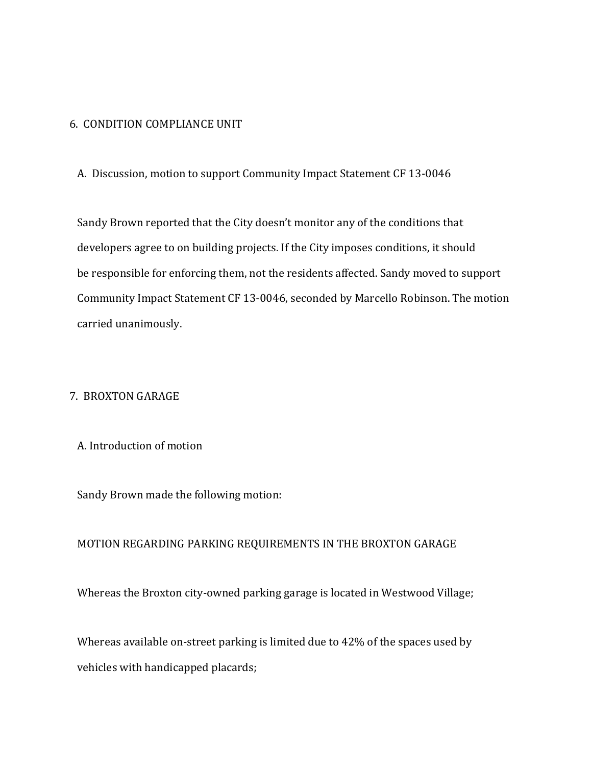#### 6. CONDITION COMPLIANCE UNIT

A. Discussion, motion to support Community Impact Statement CF 13-0046

 Sandy Brown reported that the City doesn't monitor any of the conditions that developers agree to on building projects. If the City imposes conditions, it should be responsible for enforcing them, not the residents affected. Sandy moved to support Community Impact Statement CF 13-0046, seconded by Marcello Robinson. The motion carried unanimously.

### 7. BROXTON GARAGE

### A. Introduction of motion

Sandy Brown made the following motion:

#### MOTION REGARDING PARKING REQUIREMENTS IN THE BROXTON GARAGE

Whereas the Broxton city-owned parking garage is located in Westwood Village;

 Whereas available on-street parking is limited due to 42% of the spaces used by vehicles with handicapped placards;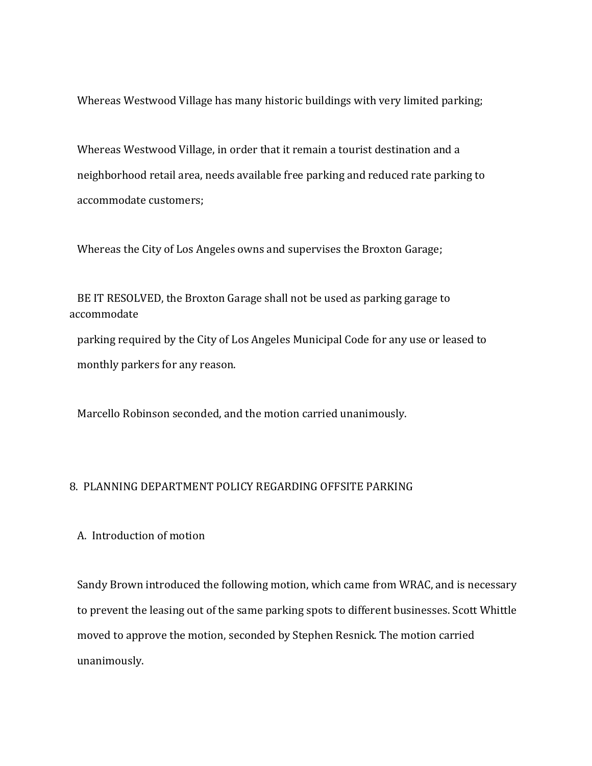Whereas Westwood Village has many historic buildings with very limited parking;

 Whereas Westwood Village, in order that it remain a tourist destination and a neighborhood retail area, needs available free parking and reduced rate parking to accommodate customers;

Whereas the City of Los Angeles owns and supervises the Broxton Garage;

 BE IT RESOLVED, the Broxton Garage shall not be used as parking garage to accommodate

 parking required by the City of Los Angeles Municipal Code for any use or leased to monthly parkers for any reason.

Marcello Robinson seconded, and the motion carried unanimously.

# 8. PLANNING DEPARTMENT POLICY REGARDING OFFSITE PARKING

# A. Introduction of motion

 Sandy Brown introduced the following motion, which came from WRAC, and is necessary to prevent the leasing out of the same parking spots to different businesses. Scott Whittle moved to approve the motion, seconded by Stephen Resnick. The motion carried unanimously.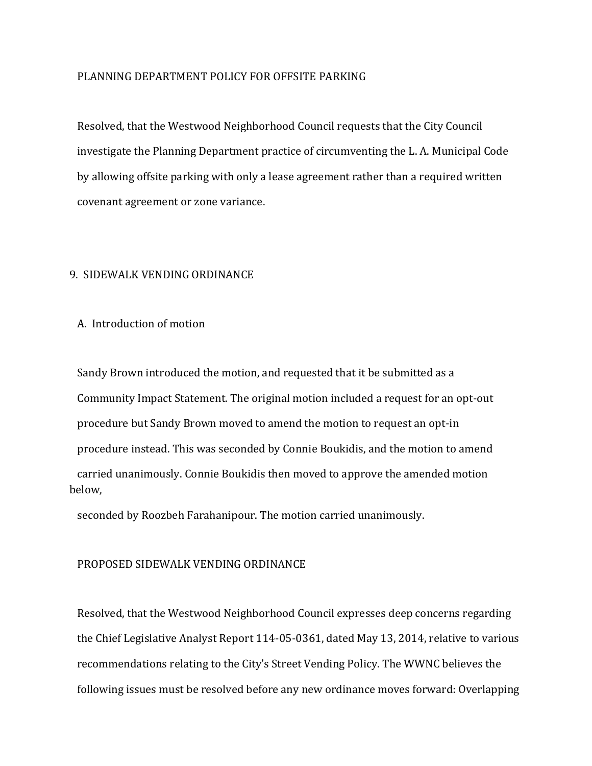#### PLANNING DEPARTMENT POLICY FOR OFFSITE PARKING

 Resolved, that the Westwood Neighborhood Council requests that the City Council investigate the Planning Department practice of circumventing the L. A. Municipal Code by allowing offsite parking with only a lease agreement rather than a required written covenant agreement or zone variance.

#### 9. SIDEWALK VENDING ORDINANCE

#### A. Introduction of motion

 Sandy Brown introduced the motion, and requested that it be submitted as a Community Impact Statement. The original motion included a request for an opt-out procedure but Sandy Brown moved to amend the motion to request an opt-in procedure instead. This was seconded by Connie Boukidis, and the motion to amend carried unanimously. Connie Boukidis then moved to approve the amended motion below,

seconded by Roozbeh Farahanipour. The motion carried unanimously.

#### PROPOSED SIDEWALK VENDING ORDINANCE

 Resolved, that the Westwood Neighborhood Council expresses deep concerns regarding the Chief Legislative Analyst Report 114-05-0361, dated May 13, 2014, relative to various recommendations relating to the City's Street Vending Policy. The WWNC believes the following issues must be resolved before any new ordinance moves forward: Overlapping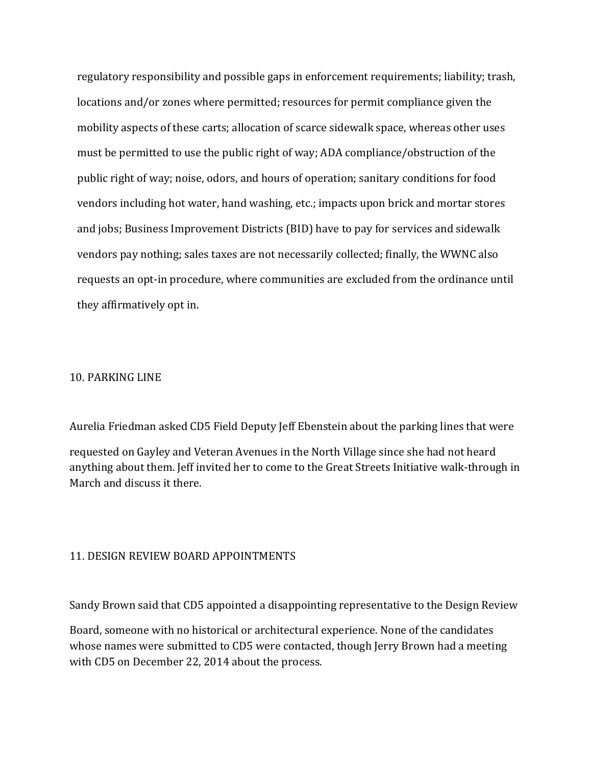regulatory responsibility and possible gaps in enforcement requirements; liability; trash, locations and/or zones where permitted; resources for permit compliance given the mobility aspects of these carts; allocation of scarce sidewalk space, whereas other uses must be permitted to use the public right of way; ADA compliance/obstruction of the public right of way; noise, odors, and hours of operation; sanitary conditions for food vendors including hot water, hand washing, etc.; impacts upon brick and mortar stores and jobs; Business Improvement Districts (BID) have to pay for services and sidewalk vendors pay nothing; sales taxes are not necessarily collected; finally, the WWNC also requests an opt-in procedure, where communities are excluded from the ordinance until they affirmatively opt in.

### 10. PARKING LINE

Aurelia Friedman asked CD5 Field Deputy Jeff Ebenstein about the parking lines that were

requested on Gayley and Veteran Avenues in the North Village since she had not heard anything about them. Jeff invited her to come to the Great Streets Initiative walk-through in March and discuss it there.

#### 11. DESIGN REVIEW BOARD APPOINTMENTS

Sandy Brown said that CD5 appointed a disappointing representative to the Design Review

Board, someone with no historical or architectural experience. None of the candidates whose names were submitted to CD5 were contacted, though Jerry Brown had a meeting with CD5 on December 22, 2014 about the process.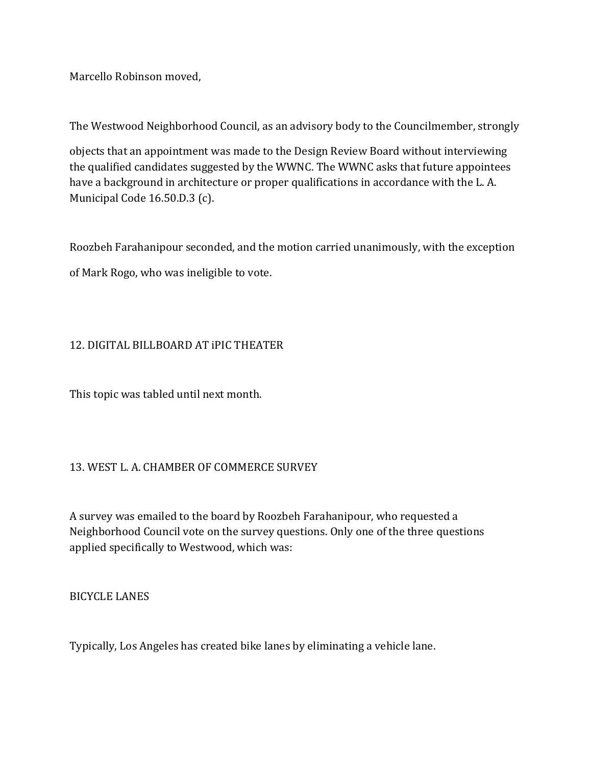Marcello Robinson moved,

The Westwood Neighborhood Council, as an advisory body to the Councilmember, strongly

objects that an appointment was made to the Design Review Board without interviewing the qualified candidates suggested by the WWNC. The WWNC asks that future appointees have a background in architecture or proper qualifications in accordance with the L. A. Municipal Code 16.50.D.3 (c).

Roozbeh Farahanipour seconded, and the motion carried unanimously, with the exception of Mark Rogo, who was ineligible to vote.

# 12. DIGITAL BILLBOARD AT iPIC THEATER

This topic was tabled until next month.

# 13. WEST L. A. CHAMBER OF COMMERCE SURVEY

A survey was emailed to the board by Roozbeh Farahanipour, who requested a Neighborhood Council vote on the survey questions. Only one of the three questions applied specifically to Westwood, which was:

BICYCLE LANES

Typically, Los Angeles has created bike lanes by eliminating a vehicle lane.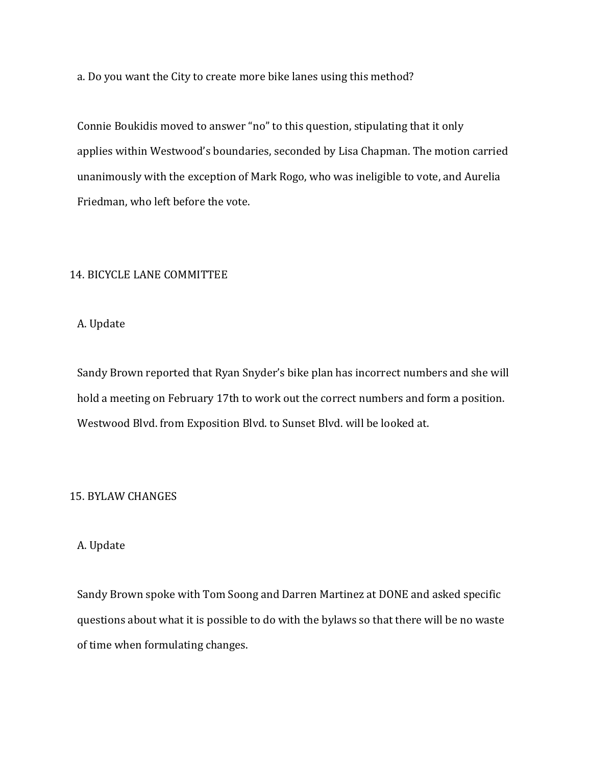a. Do you want the City to create more bike lanes using this method?

 Connie Boukidis moved to answer "no" to this question, stipulating that it only applies within Westwood's boundaries, seconded by Lisa Chapman. The motion carried unanimously with the exception of Mark Rogo, who was ineligible to vote, and Aurelia Friedman, who left before the vote.

#### 14. BICYCLE LANE COMMITTEE

A. Update

 Sandy Brown reported that Ryan Snyder's bike plan has incorrect numbers and she will hold a meeting on February 17th to work out the correct numbers and form a position. Westwood Blvd. from Exposition Blvd. to Sunset Blvd. will be looked at.

#### 15. BYLAW CHANGES

### A. Update

 Sandy Brown spoke with Tom Soong and Darren Martinez at DONE and asked specific questions about what it is possible to do with the bylaws so that there will be no waste of time when formulating changes.